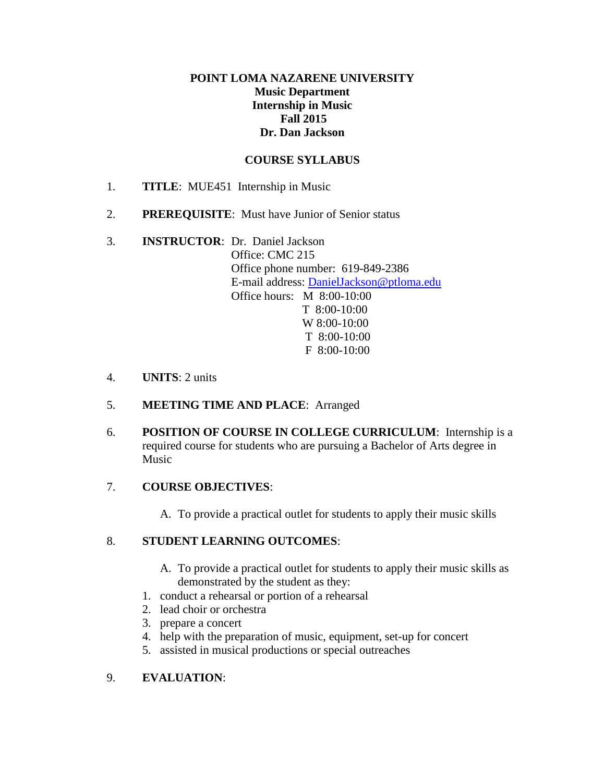# **POINT LOMA NAZARENE UNIVERSITY Music Department Internship in Music Fall 2015 Dr. Dan Jackson**

# **COURSE SYLLABUS**

- 1. **TITLE**: MUE451 Internship in Music
- 2. **PREREQUISITE**: Must have Junior of Senior status
- 3. **INSTRUCTOR**: Dr. Daniel Jackson Office: CMC 215 Office phone number: 619-849-2386 E-mail address: [DanielJackson@ptloma.edu](mailto:DanielJackson@ptloma.edu) Office hours: M 8:00-10:00 T 8:00-10:00 W 8:00-10:00 T 8:00-10:00 F 8:00-10:00
- 4. **UNITS**: 2 units
- 5. **MEETING TIME AND PLACE**: Arranged
- 6. **POSITION OF COURSE IN COLLEGE CURRICULUM**: Internship is a required course for students who are pursuing a Bachelor of Arts degree in Music

# 7. **COURSE OBJECTIVES**:

A. To provide a practical outlet for students to apply their music skills

### 8. **STUDENT LEARNING OUTCOMES**:

- A. To provide a practical outlet for students to apply their music skills as demonstrated by the student as they:
- 1. conduct a rehearsal or portion of a rehearsal
- 2. lead choir or orchestra
- 3. prepare a concert
- 4. help with the preparation of music, equipment, set-up for concert
- 5. assisted in musical productions or special outreaches

# 9. **EVALUATION**: